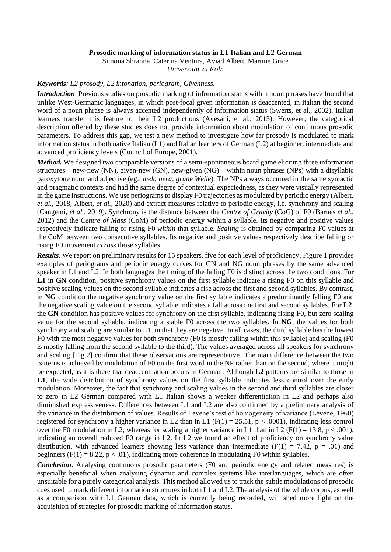## **Prosodic marking of information status in L1 Italian and L2 German**

Simona Sbranna, Caterina Ventura, Aviad Albert, Martine Grice *Universität zu Köln*

## *Keywords: L2 prosody, L2 intonation, periogram, Givenness.*

*Introduction*. Previous studies on prosodic marking of information status within noun phrases have found that unlike West-Germanic languages, in which post-focal given information is deaccented, in Italian the second word of a noun phrase is always accented independently of information status (Swerts, et al., 2002). Italian learners transfer this feature to their L2 productions (Avesani, et al., 2015). However, the categorical description offered by these studies does not provide information about modulation of continuous prosodic parameters. To address this gap, we test a new method to investigate how far prosody is modulated to mark information status in both native Italian (L1) and Italian learners of German (L2) at beginner, intermediate and advanced proficiency levels (Council of Europe, 2001).

*Method.* We designed two comparable versions of a semi-spontaneous board game eliciting three information structures – new-new (NN), given-new (GN), new-given (NG) – within noun phrases (NPs) with a disyllabic paroxytone noun and adjective (eg.: *mela nera*; *grüne Welle*). The NPs always occurred in the same syntactic and pragmatic contexts and had the same degree of contextual expectedness, as they were visually represented in the game instructions. We use periograms to display F0 trajectories as modulated by periodic energy (Albert, *et al.*, 2018, Albert, *et al.*, 2020) and extract measures relative to periodic energy, i.e. synchrony and scaling (Cangemi, *et al.*, 2019). Synchrony is the distance between the *Centre of Gravity* (CoG) of F0 (Barnes *et al*., 2012) and the *Centre of Mass* (CoM) of periodic energy within a syllable. Its negative and positive values respectively indicate falling or rising F0 *within* that syllable. *Scaling* is obtained by comparing F0 values at the CoM between two consecutive syllables. Its negative and positive values respectively describe falling or rising F0 movement *across* those syllables.

*Results*. We report on preliminary results for 15 speakers, five for each level of proficiency. Figure 1 provides examples of periograms and periodic energy curves for GN and NG noun phrases by the same advanced speaker in L1 and L2. In both languages the timing of the falling F0 is distinct across the two conditions. For L1 in **GN** condition, positive synchrony values on the first syllable indicate a rising F0 on this syllable and positive scaling values on the second syllable indicates a rise across the first and second syllables. By contrast, in **NG** condition the negative synchrony value on the first syllable indicates a predominantly falling F0 and the negative scaling value on the second syllable indicates a fall across the first and second syllables. For **L2**, the **GN** condition has positive values for synchrony on the first syllable, indicating rising F0, but zero scaling value for the second syllable, indicating a stable F0 across the two syllables. In **NG**, the values for both synchrony and scaling are similar to L1, in that they are negative. In all cases, the third syllable has the lowest F0 with the most negative values for both synchrony (F0 is mostly falling within this syllable) and scaling (F0 is mostly falling from the second syllable to the third). The values averaged across all speakers for synchrony and scaling [Fig.2] confirm that these observations are representative. The main difference between the two patterns is achieved by modulation of F0 on the first word in the NP rather than on the second, where it might be expected, as it is there that deaccentuation occurs in German. Although **L2** patterns are similar to those in L1, the wide distribution of synchrony values on the first syllable indicates less control over the early modulation. Moreover, the fact that synchrony and scaling values in the second and third syllables are closer to zero in L2 German compared with L1 Italian shows a weaker differentiation in L2 and perhaps also diminished expressiveness. Differences between L1 and L2 are also confirmed by a preliminary analysis of the variance in the distribution of values. Results of Levene's test of homogeneity of variance (Levene, 1960) registered for synchrony a higher variance in L2 than in L1 ( $F(1) = 25.51$ ,  $p < .0001$ ), indicating less control over the F0 modulation in L2, whereas for scaling a higher variance in L1 than in L2 (F(1) = 13.8, p < .001), indicating an overall reduced F0 range in L2. In L2 we found an effect of proficiency on synchrony value distribution, with advanced learners showing less variance than intermediate ( $F(1) = 7.42$ ,  $p = .01$ ) and beginners (F(1) = 8.22,  $p < .01$ ), indicating more coherence in modulating F0 within syllables.

*Conclusion*. Analysing continuous prosodic parameters (F0 and periodic energy and related measures) is especially beneficial when analysing dynamic and complex systems like interlanguages, which are often unsuitable for a purely categorical analysis. This method allowed us to track the subtle modulations of prosodic cues used to mark different information structures in both L1 and L2. The analysis of the whole corpus, as well as a comparison with L1 German data, which is currently being recorded, will shed more light on the acquisition of strategies for prosodic marking of information status.